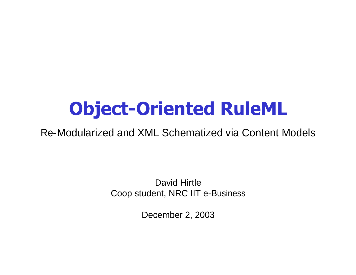# **Object-Oriented RuleML**

Re-Modularized and XML Schematized via Content Models

David Hirtle Coop student, NRC IIT e-Business

December 2, 2003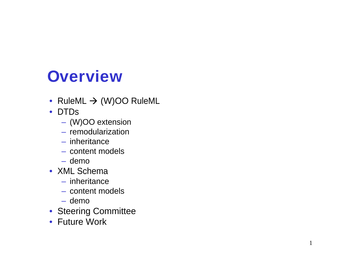# **Overview**<br>
• RuleML → (W)OO RuleML<br>
• DTDs<br>
– (W)OO extension<br>
– imheritance<br>
– inheritance<br>
– content models<br>
– demo<br>
• XML Schema<br>
– inheritance<br>
– content models<br>
– demo<br>
• Steering Committee<br>• Future Work

- 
- -
	-
	-
	-
	-
- -
	-
	-
- 
-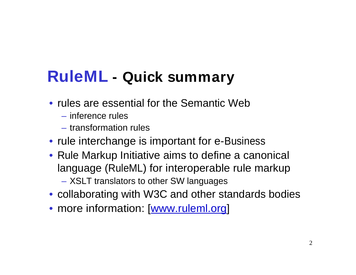# **RuleML - Quick summary**

- rules are essential for the Semantic Web
	- inference rules
	- transformation rules
- rule interchange is important for e-Business
- Rule Markup Initiative aims to define a canonical language (RuleML) for interoperable rule markup
	- XSLT translators to other SW languages
- collaborating with W3C and other standards bodies
- more information: [www.ruleml.org]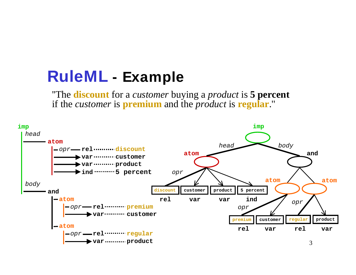## **RuleML - Example**

''The **discount** for a *customer* buying a *product* is **5 percent** if the *customer* is **premium** and the *product* is **regular**.''

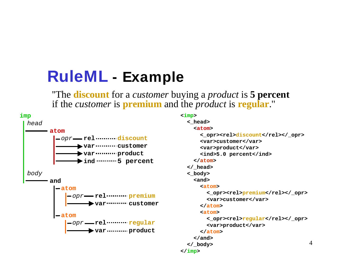## **RuleML - Example**

''The **discount** for a *customer* buying a *product* is **5 percent** if the *customer* is **premium** and the *product* is **regular**.''



#### **<imp> <\_head>**

```
4
opr  rel municipaliscount  versus terms (vary letter option of \frac{1}{2}var customer and starperoducts/variation
  var ………… product state of the state of the state of the state of the state of the state of the state of the sta
  ind 100 minutes ind 100 minutes index index index index index index index index index index index
atom and the second state of \lambda atom \lambda atom \lambda atom \lambda at \lambda at \lambda at \lambda at \lambda at \lambda at \lambda at \lambda at \lambda at \lambda at \lambda at \lambda at \lambda at \lambda at \lambda at \lambda at \lambda at \lambda at \lambda at \lambda at \lambdaopr  rel   rel premium<br>consequence (resp. relations)
    var customer and consider the contract of the contract of the contract of the contract of the contract of the contract of the contract of the contract of the contract of the contract of the contract of the contract of the 
atom and the same of the same of the same of the same of the same of the same of the same of the same of the same of the same of the same of the same of the same of the same of the same of the same of the same of the same 
    var product and \frac{1}{2} are \frac{1}{2} and \frac{1}{2} are \frac{1}{2} and \frac{1}{2} are \frac{1}{2} are \frac{1}{2} and \frac{1}{2} are \frac{1}{2} are \frac{1}{2} are \frac{1}{2} are \frac{1}{2} are \frac{1}{2} are \frac{1}{2} and \frac{1}{2}<atom>
and the set of the set of the set of the set of the set of the set of the set of the set of the set of the set of the set of the set of the set of the set of the set of the set of the set of the set of the set of th
                <_opr><rel>discount</rel></_opr>
                <var>customer</var>
                <var>product</var>
                <ind>5.0 percent</ind>
               </atom>
               </_head>
               <_body>
               <and>
                <atom>
                 <_opr><rel>premium</rel></_opr>
                 <var>customer</var>
                </atom>
                <atom>
                 <_opr><rel>regular</rel></_opr>
                 <var>product</var>
                </atom>
               </and>
               </_body>
              </imp>
```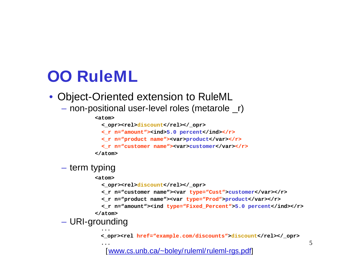# **OO RuleML**

- Object-Oriented extension to RuleML
	- non-positional user-level roles (metarole \_r)

#### **<atom>**

- < opr><rel>discount</rel></ opr>
- <\_r n="amount"><ind>5.0 percent</ind></r></r>>
- <\_r n="product name"><var>product</var></r></r>>
- <\_r n="customer name"><var>customer</var></r><

```
</atom>
```
#### – term typing

**<atom>**

```
< opr><rel>discount</rel></ opr>
```
- **<\_r n="customer name"><var type="Cust">customer</var></r>**
- **<\_r n="product name"><var type="Prod">product</var></r>**

**<\_r n="amount"><ind type="Fixed\_Percent">5.0 percent</ind></r> </atom>**

– URI-grounding **...**

**<\_opr><rel href="example.com/discounts">discount</rel></\_opr>**

[www.cs.unb.ca/~boley/ruleml/ruleml-rgs.pdf]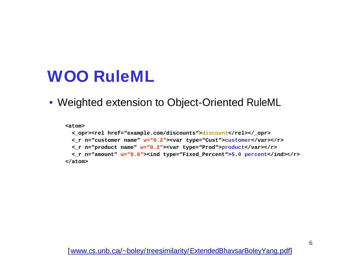## **WOO RuleML**

• Weighted extension to Object-Oriented RuleML

**<atom>**

**<\_opr><rel href="example.com/discounts">discount</rel></\_opr> <\_r n="customer name" w="0.2"><var type="Cust">customer</var></r> <\_r n="product name" w="0.2"><var type="Prod">product</var></r> <\_r n="amount" w="0.6"><ind type="Fixed\_Percent">5.0 percent</ind></r> </atom>**

[www.cs.unb.ca/~boley/treesimilarity/ExtendedBhavsarBoleyYang.pdf]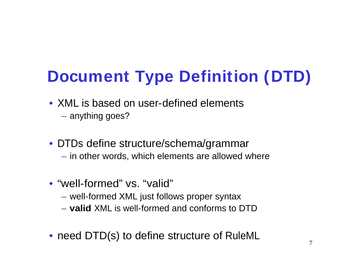# **Document Type Definition (DTD)**

- XML is based on user-defined elements
	- anything goes?
- DTDs define structure/schema/grammar – in other words, which elements are allowed where
- "well-formed" vs. "valid"
	- well-formed XML just follows proper syntax
	- **valid** XML is well-formed and conforms to DTD
- need DTD(s) to define structure of RuleML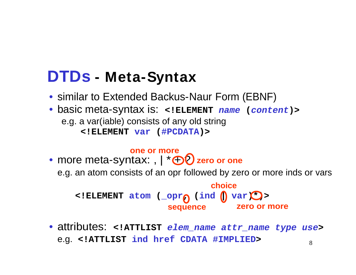## **DTDs - Meta-Syntax**

- similar to Extended Backus-Naur Form (EBNF)
- basic meta-syntax is: **<!ELEMENT name (content)>** e.g. a var(iable) consists of any old string **<!ELEMENT var (#PCDATA)>**

#### **one or more**

- more meta-syntax: ,  $\mathbf{I} \times \mathbf{I}$  zero or one e.g. an atom consists of an opr followed by zero or more inds or vars **<!ELEMENT atom (\_opr, (ind | var)\*)> sequence choice choice choice choice zero or more zero or one**
- 8 • attributes: **<!ATTLIST elem\_name attr\_name type use>** e.g. **<!ATTLIST ind href CDATA #IMPLIED>**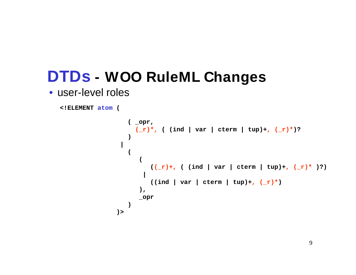```
<!ELEMENT atom (
```

```
(_opr, (_r)*, (ind | var | cterm | tup)*, (_r)*)
|
(_r)*, ( (ind | var | cterm | tup)+, (_r)*)?
)>
( _opr,
) 
|
(
(
 ((_r)+, ( (ind | var | cterm | tup)+, (_r)* )?)
|
 ((\text{ind} \mid \text{var} \mid \text{cterm} \mid \text{tup}) +, (\text{r})^*)),
_opr
)
)>
```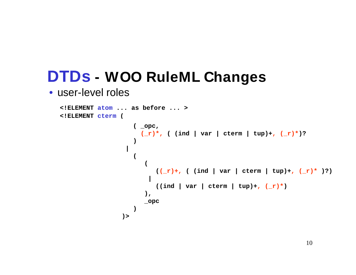```
(_opc, (_r)*, (ind | var | cterm | tup)*, (_r)*)
  |
(_r)*, ( (ind | var | cterm | tup)+, (_r)*)?
  )>
<!ELEMENT cterm (
<!ELEMENT atom ... as before ... >
  ( _opc,
  ) 
  |
  (
   (
   ((_r)+, ( (ind | var | cterm | tup)+, (_r)* )?)
   |
   ((\text{ind} | \text{var} | \text{cterm} | \text{tup}) +, (\_r)^*)),
   _opc
  )
  )>
```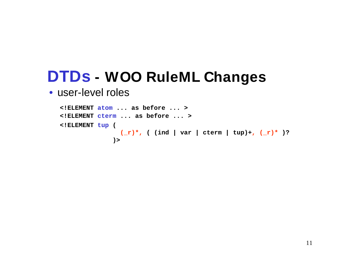```
<!ELEMENT tup (
     (_r)*, ( (ind | var | cterm | tup)+, (_r)* )?
    )>
<!ELEMENT cterm ... as before ... >
<!ELEMENT atom ... as before ... >
```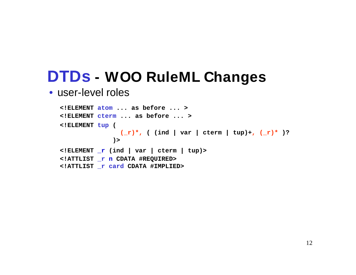```
<!ELEMENT tup (
       (_r)*, ( (ind | var | cterm | tup)+, (_r)* )?
      )>
<!ELEMENT cterm ... as before ... >
<!ELEMENT atom ... as before ... >
<!ELEMENT _r (ind | var | cterm | tup)>
<!ATTLIST _r n CDATA #REQUIRED>
<!ATTLIST _r card CDATA #IMPLIED>
```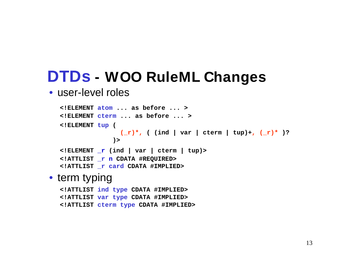#### • user-level roles

```
<!ELEMENT tup (
       (_r)*, ( (ind | var | cterm | tup)+, (_r)* )?
      )>
<!ELEMENT cterm ... as before ... >
<!ELEMENT atom ... as before ... >
<!ELEMENT _r (ind | var | cterm | tup)>
<!ATTLIST _r n CDATA #REQUIRED>
<!ATTLIST _r card CDATA #IMPLIED>
```
#### • term typing and the state of the state of the state of the state of the state of the state of the state of the state of the state of the state of the state of the state of the state of the state of the state of the state

```
<!ATTLIST ind type CDATA #IMPLIED>
<!ATTLIST var type CDATA #IMPLIED>
<!ATTLIST cterm type CDATA #IMPLIED>
```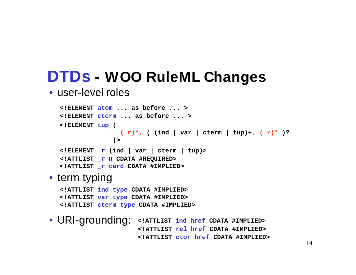#### • user-level roles

**<!ELEMENT tup ( (\_r)\*, ( (ind | var | cterm | tup)+, (\_r)\* )? )> <!ELEMENT cterm ... as before ... > <!ELEMENT atom ... as before ... > <!ELEMENT \_r (ind | var | cterm | tup)> <!ATTLIST \_r n CDATA #REQUIRED> <!ATTLIST \_r card CDATA #IMPLIED>**

#### • term typing and the state of the state of the state of the state of the state of the state of the state of the state of the state of the state of the state of the state of the state of the state of the state of the state

**<!ATTLIST ind type CDATA #IMPLIED> <!ATTLIST var type CDATA #IMPLIED> <!ATTLIST cterm type CDATA #IMPLIED>**

• URI-grounding: **<!ATTLIST ind href CDATA #IMPLIED> <!ATTLIST rel href CDATA #IMPLIED> <!ATTLIST ctor href CDATA #IMPLIED>**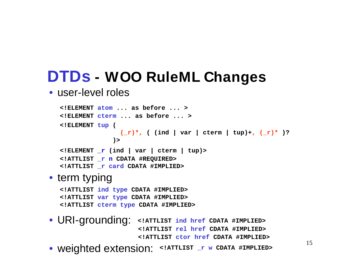#### • user-level roles

**<!ELEMENT tup ( (\_r)\*, ( (ind | var | cterm | tup)+, (\_r)\* )? )> <!ELEMENT cterm ... as before ... > <!ELEMENT atom ... as before ... > <!ELEMENT \_r (ind | var | cterm | tup)> <!ATTLIST \_r n CDATA #REQUIRED> <!ATTLIST \_r card CDATA #IMPLIED>**

#### • term typing and the state of the state of the state of the state of the state of the state of the state of the state of the state of the state of the state of the state of the state of the state of the state of the state

**<!ATTLIST ind type CDATA #IMPLIED> <!ATTLIST var type CDATA #IMPLIED> <!ATTLIST cterm type CDATA #IMPLIED>**

• URI-grounding: **<!ATTLIST ind href CDATA #IMPLIED> <!ATTLIST rel href CDATA #IMPLIED> <!ATTLIST ctor href CDATA #IMPLIED>**

• weighted extension: **<!ATTLIST \_r w CDATA #IMPLIED>**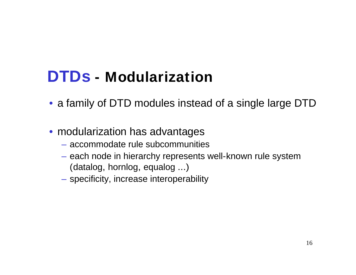# **DTDs - Modularization**

- a family of DTD modules instead of a single large DTD
- modularization has advantages
	- accommodate rule subcommunities
	- each node in hierarchy represents well-known rule system (datalog, hornlog, equalog ...)
	- specificity, increase interoperability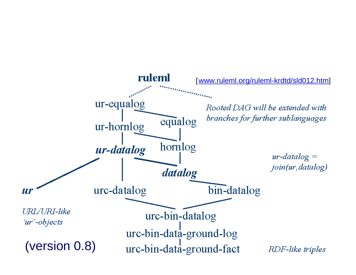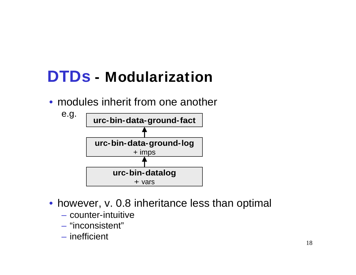# **DTDs - Modularization**

• modules inherit from one another



- however, v. 0.8 inheritance less than optimal
	- counter-intuitive
	- "inconsistent"
	- inefficient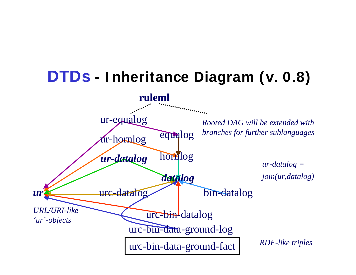# **DTDs - I nheritance Diagram (v. 0.8)**

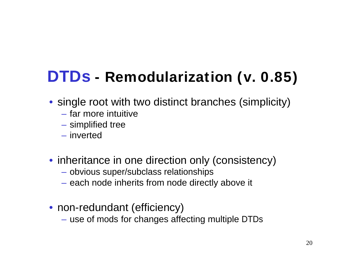# **DTDs - Remodularization (v. 0.85)**

- single root with two distinct branches (simplicity)
	- far more intuitive
	- simplified tree
	- inverted
- inheritance in one direction only (consistency)
	- obvious super/subclass relationships
	- each node inherits from node directly above it
- non-redundant (efficiency)
	- use of mods for changes affecting multiple DTDs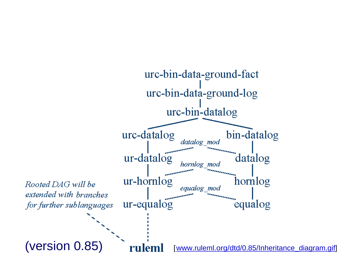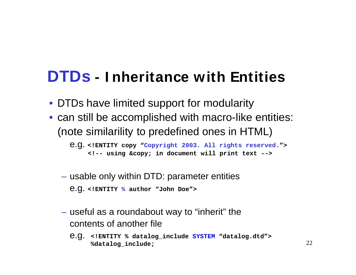## **DTDs - I nheritance with Entities**

- DTDs have limited support for modularity
- can still be accomplished with macro-like entities: (note similarility to predefined ones in HTML)

e.g. **<!ENTITY copy "Copyright 2003. All rights reserved."> <!-- using © in document will print text -->**

- usable only within DTD: parameter entities e.g. **<!ENTITY % author "John Doe">**
- useful as a roundabout way to "inherit" the contents of another file
	- e.g. **<!ENTITY % datalog\_include SYSTEM "datalog.dtd"> %datalog\_include;**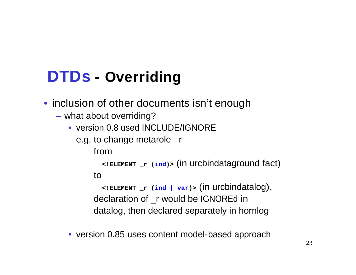# **DTDs - Overriding**

• inclusion of other documents isn't enough

- what about overriding?
	- version 0.8 used INCLUDE/IGNORE

```
e.g. to change metarole _r
```
from

**<!ELEMENT \_r (ind)>** (in urcbindataground fact) to

**<!ELEMENT \_r (ind | var)>** (in urcbindatalog), declaration of \_r would be IGNOREd in datalog, then declared separately in hornlog

• version 0.85 uses content model-based approach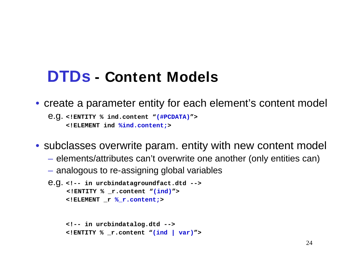## **DTDs - Content Models**

• create a parameter entity for each element's content model

```
e.g. <!ENTITY % ind.content "(#PCDATA)">
    <!ELEMENT ind %ind.content;>
```
• subclasses overwrite param. entity with new content model

- elements/attributes can't overwrite one another (only entities can)
- analogous to re-assigning global variables

```
e.g. <!-- in urcbindatagroundfact.dtd -->
     <!ENTITY % _r.content "(ind)"> 
     <!ELEMENT _r %_r.content;>
```

```
<!-- in urcbindatalog.dtd -->
<!ENTITY % _r.content "(ind | var)">
```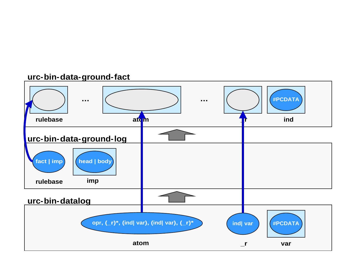#### **urc-bin-data-ground-fact**

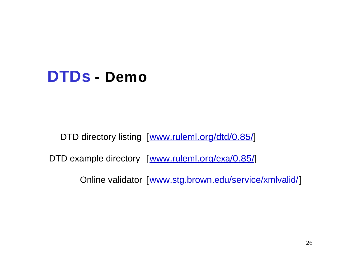## **DTDs - Demo**

DTD directory listing [www.ruleml.org/dtd/0.85/]

DTD example directory [www.ruleml.org/exa/0.85/]

Online validator [www.stg.brown.edu/service/xmlvalid/]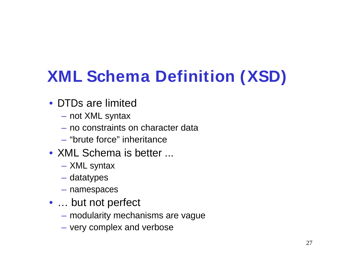# **XML Schema Definition (XSD)**

- DTDs are limited
	- not XML syntax
	- no constraints on character data
	- "brute force" inheritance
- XML Schema is better ...
	- XML syntax
	- datatypes
	- namespaces
- ... but not perfect
	- modularity mechanisms are vague
	- very complex and verbose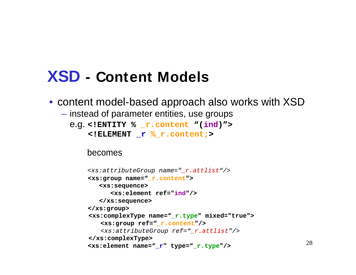## **XSD - Content Models**

- content model-based approach also works with  $XSD$ 
	- instead of parameter entities, use groups
		- e.g. **<!ENTITY % \_r.content "(ind)">**

```
<!ELEMENT _r %_r.content;>
```
#### becomes

```
<xs:attributeGroup name="_r.attlist"/>
<xs:group name="_r.content">
 <xs:sequence>
  <xs:element ref="ind"/>
 </xs:sequence>
</xs:group>
<xs:complexType name="_r.type" mixed="true">
 <xs:group ref="_r.content"/>
 <xs:attributeGroup ref="_r.attlist"/>
</xs:complexType>
<xs:element name="_r" type="_r.type"/>
```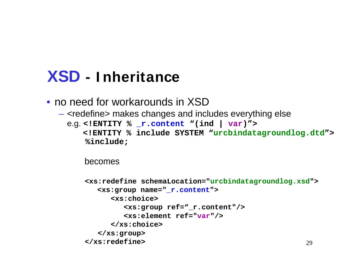## **XSD - I nheritance**

- no need for workarounds in XSD
	- <redefine> makes changes and includes everything else

e.g. **<!ENTITY % \_r.content "(ind | var)"> <!ENTITY % include SYSTEM "urcbindatagroundlog.dtd"> %include;**

becomes

```
29
<xs:redefine schemaLocation="urcbindatagroundlog.xsd">
<xs:group name="_r.content">
 <xs:choice>
  <xs:group ref="_r.content"/>
  <xs:element ref="var"/>
 </xs:choice>
</xs:group>
</xs:redefine>
```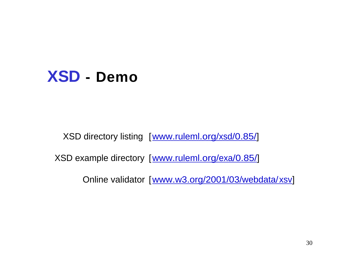

XSD directory listing [www.ruleml.org/xsd/0.85/]

XSD example directory [www.ruleml.org/exa/0.85/]

Online validator [www.w3.org/2001/03/webdata/xsv]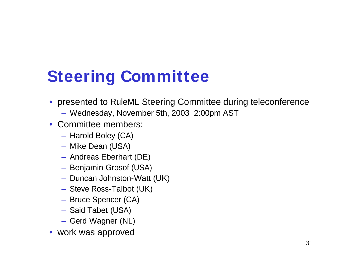# **Steering Committee**

- presented to RuleML Steering Committee during teleconference
	- Wednesday, November 5th, 2003 2:00pm AST
- Committee members:
	- Harold Boley (CA)
	- Mike Dean (USA)
	- Andreas Eberhart (DE)
	- Benjamin Grosof (USA)
	- Duncan Johnston-Watt (UK)
	- Steve Ross-Talbot (UK)
	- Bruce Spencer (CA)
	- Said Tabet (USA)
	- Gerd Wagner (NL)
- work was approved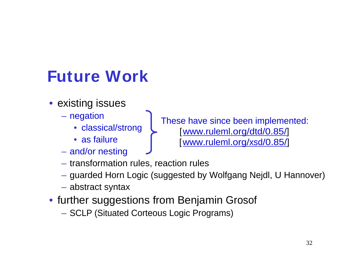# **Future Work**

- existing issues
	- - classical/strong
		-
	- and/or nesting
	- transformation rules, reaction rules
	- guarded Horn Logic (suggested by Wolfgang Nejdl, U Hannover)
	- abstract syntax
- further suggestions from Benjamin Grosof
	- SCLP (Situated Corteous Logic Programs)

– negation and these have since heap implemented: • as failure **the assumpt of the set of the set of the set of the set of the set of the set of the set of the set of the set of the set of the set of the set of the set of the set of the set of the set of the set of the se** These have since been implemented: [www.ruleml.org/dtd/0.85/]